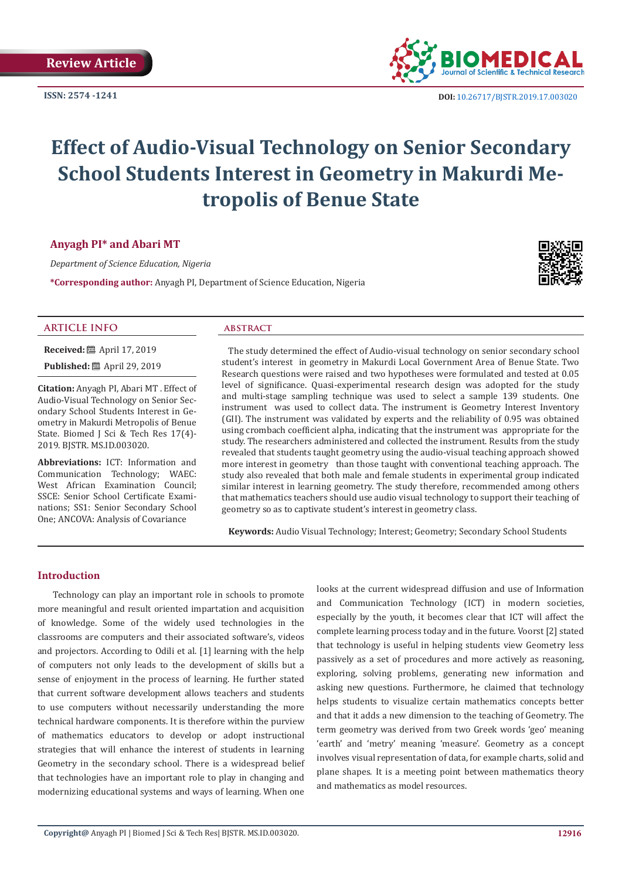**ISSN: 2574 -1241**



 **DOI:** [10.26717/BJSTR.2019.17.0030](http://dx.doi.org/10.26717/BJSTR.2019.17.003020)20

# **Effect of Audio-Visual Technology on Senior Secondary School Students Interest in Geometry in Makurdi Metropolis of Benue State**

# **Anyagh PI\* and Abari MT**

*Department of Science Education, Nigeria*

**\*Corresponding author:** Anyagh PI, Department of Science Education, Nigeria



#### **ARTICLE INFO abstract**

**Received:** ■ April 17, 2019 **Published:** ■ April 29, 2019

**Citation:** Anyagh PI, Abari MT . Effect of Audio-Visual Technology on Senior Secondary School Students Interest in Geometry in Makurdi Metropolis of Benue State. Biomed J Sci & Tech Res 17(4)-2019. BJSTR. MS.ID.003020.

**Abbreviations:** ICT: Information and Communication Technology; WAEC: West African Examination Council; SSCE: Senior School Certificate Examinations; SS1: Senior Secondary School One; ANCOVA: Analysis of Covariance

The study determined the effect of Audio-visual technology on senior secondary school student's interest in geometry in Makurdi Local Government Area of Benue State. Two Research questions were raised and two hypotheses were formulated and tested at 0.05 level of significance. Quasi-experimental research design was adopted for the study and multi-stage sampling technique was used to select a sample 139 students. One instrument was used to collect data. The instrument is Geometry Interest Inventory (GII). The instrument was validated by experts and the reliability of 0.95 was obtained using crombach coefficient alpha, indicating that the instrument was appropriate for the study. The researchers administered and collected the instrument. Results from the study revealed that students taught geometry using the audio-visual teaching approach showed more interest in geometry than those taught with conventional teaching approach. The study also revealed that both male and female students in experimental group indicated similar interest in learning geometry. The study therefore, recommended among others that mathematics teachers should use audio visual technology to support their teaching of geometry so as to captivate student's interest in geometry class.

**Keywords:** Audio Visual Technology; Interest; Geometry; Secondary School Students

# **Introduction**

Technology can play an important role in schools to promote more meaningful and result oriented impartation and acquisition of knowledge. Some of the widely used technologies in the classrooms are computers and their associated software's, videos and projectors. According to Odili et al. [1] learning with the help of computers not only leads to the development of skills but a sense of enjoyment in the process of learning. He further stated that current software development allows teachers and students to use computers without necessarily understanding the more technical hardware components. It is therefore within the purview of mathematics educators to develop or adopt instructional strategies that will enhance the interest of students in learning Geometry in the secondary school. There is a widespread belief that technologies have an important role to play in changing and modernizing educational systems and ways of learning. When one

looks at the current widespread diffusion and use of Information and Communication Technology (ICT) in modern societies, especially by the youth, it becomes clear that ICT will affect the complete learning process today and in the future. Voorst [2] stated that technology is useful in helping students view Geometry less passively as a set of procedures and more actively as reasoning, exploring, solving problems, generating new information and asking new questions. Furthermore, he claimed that technology helps students to visualize certain mathematics concepts better and that it adds a new dimension to the teaching of Geometry. The term geometry was derived from two Greek words 'geo' meaning 'earth' and 'metry' meaning 'measure'. Geometry as a concept involves visual representation of data, for example charts, solid and plane shapes. It is a meeting point between mathematics theory and mathematics as model resources.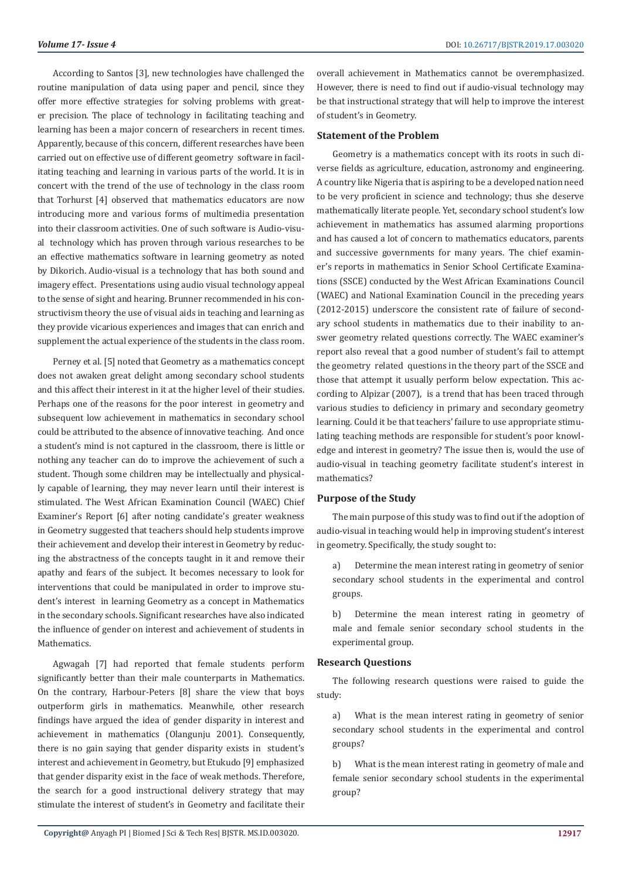According to Santos [3], new technologies have challenged the routine manipulation of data using paper and pencil, since they offer more effective strategies for solving problems with greater precision. The place of technology in facilitating teaching and learning has been a major concern of researchers in recent times. Apparently, because of this concern, different researches have been carried out on effective use of different geometry software in facilitating teaching and learning in various parts of the world. It is in concert with the trend of the use of technology in the class room that Torhurst [4] observed that mathematics educators are now introducing more and various forms of multimedia presentation into their classroom activities. One of such software is Audio-visual technology which has proven through various researches to be an effective mathematics software in learning geometry as noted by Dikorich. Audio-visual is a technology that has both sound and imagery effect. Presentations using audio visual technology appeal to the sense of sight and hearing. Brunner recommended in his constructivism theory the use of visual aids in teaching and learning as they provide vicarious experiences and images that can enrich and supplement the actual experience of the students in the class room.

Perney et al. [5] noted that Geometry as a mathematics concept does not awaken great delight among secondary school students and this affect their interest in it at the higher level of their studies. Perhaps one of the reasons for the poor interest in geometry and subsequent low achievement in mathematics in secondary school could be attributed to the absence of innovative teaching. And once a student's mind is not captured in the classroom, there is little or nothing any teacher can do to improve the achievement of such a student. Though some children may be intellectually and physically capable of learning, they may never learn until their interest is stimulated. The West African Examination Council (WAEC) Chief Examiner's Report [6] after noting candidate's greater weakness in Geometry suggested that teachers should help students improve their achievement and develop their interest in Geometry by reducing the abstractness of the concepts taught in it and remove their apathy and fears of the subject. It becomes necessary to look for interventions that could be manipulated in order to improve student's interest in learning Geometry as a concept in Mathematics in the secondary schools. Significant researches have also indicated the influence of gender on interest and achievement of students in Mathematics.

Agwagah [7] had reported that female students perform significantly better than their male counterparts in Mathematics. On the contrary, Harbour-Peters [8] share the view that boys outperform girls in mathematics. Meanwhile, other research findings have argued the idea of gender disparity in interest and achievement in mathematics (Olangunju 2001). Consequently, there is no gain saying that gender disparity exists in student's interest and achievement in Geometry, but Etukudo [9] emphasized that gender disparity exist in the face of weak methods. Therefore, the search for a good instructional delivery strategy that may stimulate the interest of student's in Geometry and facilitate their overall achievement in Mathematics cannot be overemphasized. However, there is need to find out if audio-visual technology may be that instructional strategy that will help to improve the interest of student's in Geometry.

# **Statement of the Problem**

Geometry is a mathematics concept with its roots in such diverse fields as agriculture, education, astronomy and engineering. A country like Nigeria that is aspiring to be a developed nation need to be very proficient in science and technology; thus she deserve mathematically literate people. Yet, secondary school student's low achievement in mathematics has assumed alarming proportions and has caused a lot of concern to mathematics educators, parents and successive governments for many years. The chief examiner's reports in mathematics in Senior School Certificate Examinations (SSCE) conducted by the West African Examinations Council (WAEC) and National Examination Council in the preceding years (2012-2015) underscore the consistent rate of failure of secondary school students in mathematics due to their inability to answer geometry related questions correctly. The WAEC examiner's report also reveal that a good number of student's fail to attempt the geometry related questions in the theory part of the SSCE and those that attempt it usually perform below expectation. This according to Alpizar (2007), is a trend that has been traced through various studies to deficiency in primary and secondary geometry learning. Could it be that teachers' failure to use appropriate stimulating teaching methods are responsible for student's poor knowledge and interest in geometry? The issue then is, would the use of audio-visual in teaching geometry facilitate student's interest in mathematics?

#### **Purpose of the Study**

The main purpose of this study was to find out if the adoption of audio-visual in teaching would help in improving student's interest in geometry. Specifically, the study sought to:

a) Determine the mean interest rating in geometry of senior secondary school students in the experimental and control groups.

b) Determine the mean interest rating in geometry of male and female senior secondary school students in the experimental group.

#### **Research Questions**

The following research questions were raised to guide the study:

a) What is the mean interest rating in geometry of senior secondary school students in the experimental and control groups?

b) What is the mean interest rating in geometry of male and female senior secondary school students in the experimental group?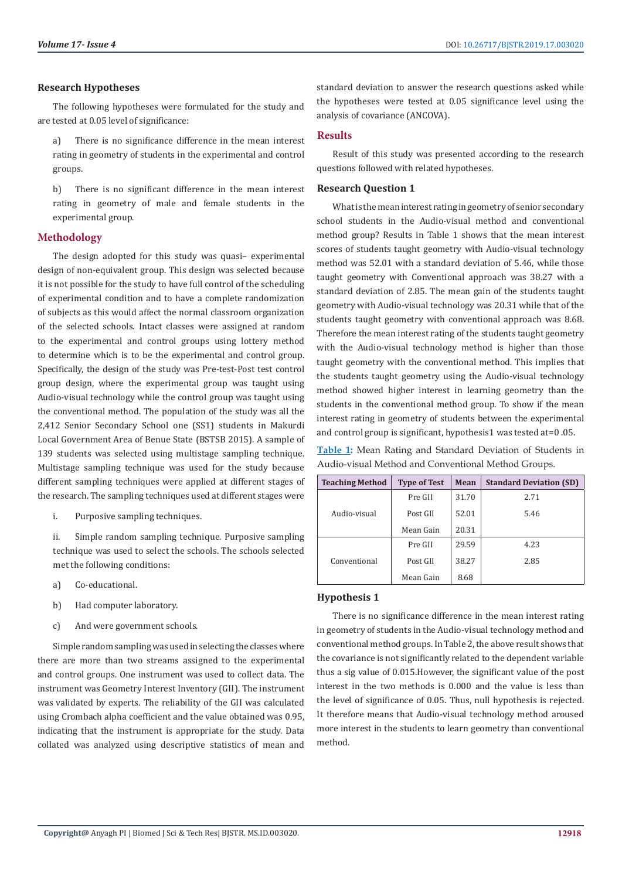## **Research Hypotheses**

The following hypotheses were formulated for the study and are tested at 0.05 level of significance:

a) There is no significance difference in the mean interest rating in geometry of students in the experimental and control groups.

b) There is no significant difference in the mean interest rating in geometry of male and female students in the experimental group.

# **Methodology**

The design adopted for this study was quasi– experimental design of non-equivalent group. This design was selected because it is not possible for the study to have full control of the scheduling of experimental condition and to have a complete randomization of subjects as this would affect the normal classroom organization of the selected schools. Intact classes were assigned at random to the experimental and control groups using lottery method to determine which is to be the experimental and control group. Specifically, the design of the study was Pre-test-Post test control group design, where the experimental group was taught using Audio-visual technology while the control group was taught using the conventional method. The population of the study was all the 2,412 Senior Secondary School one (SS1) students in Makurdi Local Government Area of Benue State (BSTSB 2015). A sample of 139 students was selected using multistage sampling technique. Multistage sampling technique was used for the study because different sampling techniques were applied at different stages of the research. The sampling techniques used at different stages were

i. Purposive sampling techniques.

ii. Simple random sampling technique. Purposive sampling technique was used to select the schools. The schools selected met the following conditions:

- a) Co-educational.
- b) Had computer laboratory.
- c) And were government schools.

Simple random sampling was used in selecting the classes where there are more than two streams assigned to the experimental and control groups. One instrument was used to collect data. The instrument was Geometry Interest Inventory (GII). The instrument was validated by experts. The reliability of the GII was calculated using Crombach alpha coefficient and the value obtained was 0.95, indicating that the instrument is appropriate for the study. Data collated was analyzed using descriptive statistics of mean and

standard deviation to answer the research questions asked while the hypotheses were tested at 0.05 significance level using the analysis of covariance (ANCOVA).

# **Results**

Result of this study was presented according to the research questions followed with related hypotheses.

# **Research Question 1**

What is the mean interest rating in geometry of senior secondary school students in the Audio-visual method and conventional method group? Results in Table 1 shows that the mean interest scores of students taught geometry with Audio-visual technology method was 52.01 with a standard deviation of 5.46, while those taught geometry with Conventional approach was 38.27 with a standard deviation of 2.85. The mean gain of the students taught geometry with Audio-visual technology was 20.31 while that of the students taught geometry with conventional approach was 8.68. Therefore the mean interest rating of the students taught geometry with the Audio-visual technology method is higher than those taught geometry with the conventional method. This implies that the students taught geometry using the Audio-visual technology method showed higher interest in learning geometry than the students in the conventional method group. To show if the mean interest rating in geometry of students between the experimental and control group is significant, hypothesis1 was tested at=0 .05.

**Table 1:** Mean Rating and Standard Deviation of Students in Audio-visual Method and Conventional Method Groups.

| <b>Teaching Method</b> | <b>Type of Test</b> | Mean  | <b>Standard Deviation (SD)</b> |
|------------------------|---------------------|-------|--------------------------------|
|                        | Pre GII             | 31.70 | 2.71                           |
| Audio-visual           | Post GII            | 52.01 | 5.46                           |
|                        | Mean Gain           | 20.31 |                                |
| Conventional           | Pre GII             | 29.59 | 4.23                           |
|                        | Post GII            | 38.27 | 2.85                           |
|                        | Mean Gain           | 8.68  |                                |

# **Hypothesis 1**

There is no significance difference in the mean interest rating in geometry of students in the Audio-visual technology method and conventional method groups. In Table 2, the above result shows that the covariance is not significantly related to the dependent variable thus a sig value of 0.015.However, the significant value of the post interest in the two methods is 0.000 and the value is less than the level of significance of 0.05. Thus, null hypothesis is rejected. It therefore means that Audio-visual technology method aroused more interest in the students to learn geometry than conventional method.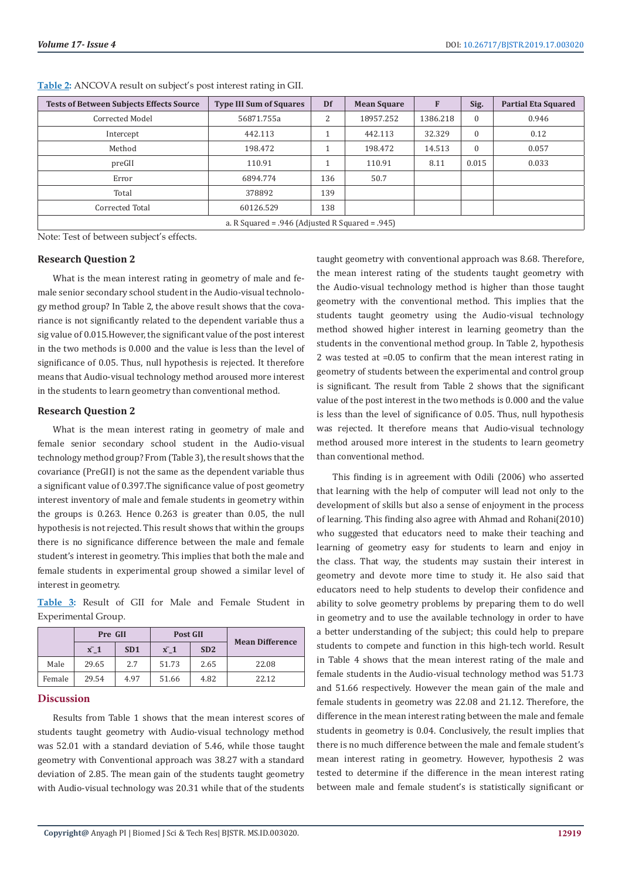| <b>Tests of Between Subjects Effects Source</b>      | <b>Type III Sum of Squares</b> | Df  | <b>Mean Square</b> | F        | Sig.     | <b>Partial Eta Squared</b> |
|------------------------------------------------------|--------------------------------|-----|--------------------|----------|----------|----------------------------|
| Corrected Model                                      | 56871.755a                     | 2   | 18957.252          | 1386.218 | $\Omega$ | 0.946                      |
| Intercept                                            | 442.113                        |     | 442.113            | 32.329   | $\Omega$ | 0.12                       |
| Method                                               | 198.472                        |     | 198.472            | 14.513   | $\Omega$ | 0.057                      |
| preGII                                               | 110.91                         |     | 110.91             | 8.11     | 0.015    | 0.033                      |
| Error                                                | 6894.774                       | 136 | 50.7               |          |          |                            |
| Total                                                | 378892                         | 139 |                    |          |          |                            |
| Corrected Total                                      | 60126.529                      | 138 |                    |          |          |                            |
| a. R Squared = $.946$ (Adjusted R Squared = $.945$ ) |                                |     |                    |          |          |                            |

**Table 2:** ANCOVA result on subject's post interest rating in GII.

Note: Test of between subject's effects.

#### **Research Question 2**

What is the mean interest rating in geometry of male and female senior secondary school student in the Audio-visual technology method group? In Table 2, the above result shows that the covariance is not significantly related to the dependent variable thus a sig value of 0.015.However, the significant value of the post interest in the two methods is 0.000 and the value is less than the level of significance of 0.05. Thus, null hypothesis is rejected. It therefore means that Audio-visual technology method aroused more interest in the students to learn geometry than conventional method.

#### **Research Question 2**

What is the mean interest rating in geometry of male and female senior secondary school student in the Audio-visual technology method group? From (Table 3), the result shows that the covariance (PreGII) is not the same as the dependent variable thus a significant value of 0.397.The significance value of post geometry interest inventory of male and female students in geometry within the groups is 0.263. Hence 0.263 is greater than 0.05, the null hypothesis is not rejected. This result shows that within the groups there is no significance difference between the male and female student's interest in geometry. This implies that both the male and female students in experimental group showed a similar level of interest in geometry.

**Table 3:** Result of GII for Male and Female Student in Experimental Group.

|        | Pre GII     |      | <b>Post GII</b> |      |                        |  |
|--------|-------------|------|-----------------|------|------------------------|--|
|        | $\bar{x}$ 1 | SD1  | $\bar{x}$ 1     | SD2  | <b>Mean Difference</b> |  |
| Male   | 29.65       | 2.7  | 51.73           | 2.65 | 22.08                  |  |
| Female | 29.54       | 4.97 | 51.66           | 4.82 | 22.12                  |  |

#### **Discussion**

Results from Table 1 shows that the mean interest scores of students taught geometry with Audio-visual technology method was 52.01 with a standard deviation of 5.46, while those taught geometry with Conventional approach was 38.27 with a standard deviation of 2.85. The mean gain of the students taught geometry with Audio-visual technology was 20.31 while that of the students

taught geometry with conventional approach was 8.68. Therefore, the mean interest rating of the students taught geometry with the Audio-visual technology method is higher than those taught geometry with the conventional method. This implies that the students taught geometry using the Audio-visual technology method showed higher interest in learning geometry than the students in the conventional method group. In Table 2, hypothesis 2 was tested at =0.05 to confirm that the mean interest rating in geometry of students between the experimental and control group is significant. The result from Table 2 shows that the significant value of the post interest in the two methods is 0.000 and the value is less than the level of significance of 0.05. Thus, null hypothesis was rejected. It therefore means that Audio-visual technology method aroused more interest in the students to learn geometry than conventional method.

This finding is in agreement with Odili (2006) who asserted that learning with the help of computer will lead not only to the development of skills but also a sense of enjoyment in the process of learning. This finding also agree with Ahmad and Rohani(2010) who suggested that educators need to make their teaching and learning of geometry easy for students to learn and enjoy in the class. That way, the students may sustain their interest in geometry and devote more time to study it. He also said that educators need to help students to develop their confidence and ability to solve geometry problems by preparing them to do well in geometry and to use the available technology in order to have a better understanding of the subject; this could help to prepare students to compete and function in this high-tech world. Result in Table 4 shows that the mean interest rating of the male and female students in the Audio-visual technology method was 51.73 and 51.66 respectively. However the mean gain of the male and female students in geometry was 22.08 and 21.12. Therefore, the difference in the mean interest rating between the male and female students in geometry is 0.04. Conclusively, the result implies that there is no much difference between the male and female student's mean interest rating in geometry. However, hypothesis 2 was tested to determine if the difference in the mean interest rating between male and female student's is statistically significant or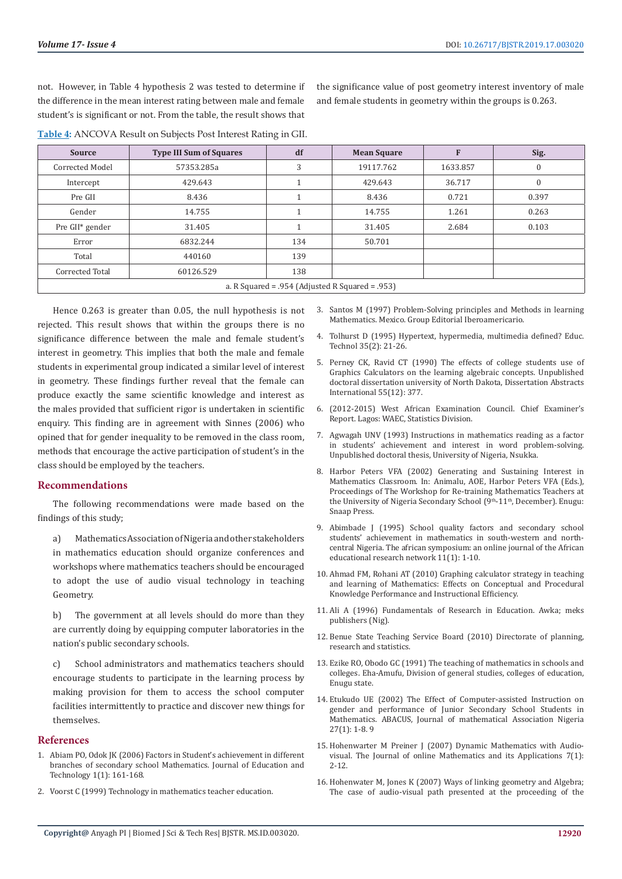not. However, in Table 4 hypothesis 2 was tested to determine if the difference in the mean interest rating between male and female student's is significant or not. From the table, the result shows that

the significance value of post geometry interest inventory of male and female students in geometry within the groups is 0.263.

| <b>Source</b>                                   | <b>Type III Sum of Squares</b> | df  | <b>Mean Square</b> |          | Sig.         |
|-------------------------------------------------|--------------------------------|-----|--------------------|----------|--------------|
| Corrected Model                                 | 57353.285a                     | 3   | 19117.762          | 1633.857 | $\mathbf{0}$ |
| Intercept                                       | 429.643                        |     | 429.643            | 36.717   | 0            |
| Pre GII                                         | 8.436                          |     | 8.436              | 0.721    | 0.397        |
| Gender                                          | 14.755                         |     | 14.755             | 1.261    | 0.263        |
| Pre GII* gender                                 | 31.405                         |     | 31.405             | 2.684    | 0.103        |
| Error                                           | 6832.244                       | 134 | 50.701             |          |              |
| Total                                           | 440160                         | 139 |                    |          |              |
| Corrected Total                                 | 60126.529                      | 138 |                    |          |              |
| a. R Squared = .954 (Adjusted R Squared = .953) |                                |     |                    |          |              |

**Table 4:** ANCOVA Result on Subjects Post Interest Rating in GII.

 Hence 0.263 is greater than 0.05, the null hypothesis is not rejected. This result shows that within the groups there is no significance difference between the male and female student's interest in geometry. This implies that both the male and female students in experimental group indicated a similar level of interest in geometry. These findings further reveal that the female can produce exactly the same scientific knowledge and interest as the males provided that sufficient rigor is undertaken in scientific enquiry. This finding are in agreement with Sinnes (2006) who opined that for gender inequality to be removed in the class room, methods that encourage the active participation of student's in the class should be employed by the teachers.

#### **Recommendations**

The following recommendations were made based on the findings of this study;

a) Mathematics Association of Nigeria and other stakeholders in mathematics education should organize conferences and workshops where mathematics teachers should be encouraged to adopt the use of audio visual technology in teaching Geometry.

b) The government at all levels should do more than they are currently doing by equipping computer laboratories in the nation's public secondary schools.

c) School administrators and mathematics teachers should encourage students to participate in the learning process by making provision for them to access the school computer facilities intermittently to practice and discover new things for themselves.

#### **References**

- 1. Abiam PO, Odok JK (2006) Factors in Student's achievement in different branches of secondary school Mathematics. Journal of Education and Technology 1(1): 161-168.
- 2. Voorst C (1999) Technology in mathematics teacher education.
- 3. Santos M (1997) Problem-Solving principles and Methods in learning Mathematics. Mexico. Group Editorial Iberoamericario.
- 4. Tolhurst D (1995) Hypertext, hypermedia, multimedia defined? Educ. Technol 35(2): 21-26.
- 5. Perney CK, Ravid CT (1990) The effects of college students use of Graphics Calculators on the learning algebraic concepts. Unpublished doctoral dissertation university of North Dakota, Dissertation Abstracts International 55(12): 377.
- 6. (2012-2015) West African Examination Council. Chief Examiner's Report. Lagos: WAEC, Statistics Division.
- 7. Agwagah UNV (1993) Instructions in mathematics reading as a factor in students' achievement and interest in word problem-solving. Unpublished doctoral thesis, University of Nigeria, Nsukka.
- 8. Harbor Peters VFA (2002) Generating and Sustaining Interest in Mathematics Classroom. In: Animalu, AOE, Harbor Peters VFA (Eds.), Proceedings of The Workshop for Re-training Mathematics Teachers at the University of Nigeria Secondary School (9<sup>th</sup>-11<sup>th</sup>, December). Enugu: Snaap Press.
- 9. [Abimbade J \(1995\) School quality factors and secondary school](https://www.researchgate.net/publication/288264584_School_quality_factors_and_secondary_school_students) [students' achievement in mathematics in south-western and north](https://www.researchgate.net/publication/288264584_School_quality_factors_and_secondary_school_students)[central Nigeria. The african symposium: an online journal of the African](https://www.researchgate.net/publication/288264584_School_quality_factors_and_secondary_school_students) [educational research network 11\(1\): 1-10.](https://www.researchgate.net/publication/288264584_School_quality_factors_and_secondary_school_students)
- 10. [Ahmad FM, Rohani AT \(2010\) Graphing calculator strategy in teaching](https://www.researchgate.net/publication/242603577_GRAPHING_CALCULATOR_STRATEGY_IN_TEACHING_AND_LEARNING_OF_MATHEMATICS_EFFECTS_ON_CONCEPTUAL_AND_PROCEDURAL_KNOWLEDGE_PERFORMANCE_AND_INSTRUCTIONAL_EFFICIENCY) [and learning of Mathematics: Effects on Conceptual and Procedural](https://www.researchgate.net/publication/242603577_GRAPHING_CALCULATOR_STRATEGY_IN_TEACHING_AND_LEARNING_OF_MATHEMATICS_EFFECTS_ON_CONCEPTUAL_AND_PROCEDURAL_KNOWLEDGE_PERFORMANCE_AND_INSTRUCTIONAL_EFFICIENCY) [Knowledge Performance and Instructional Efficiency](https://www.researchgate.net/publication/242603577_GRAPHING_CALCULATOR_STRATEGY_IN_TEACHING_AND_LEARNING_OF_MATHEMATICS_EFFECTS_ON_CONCEPTUAL_AND_PROCEDURAL_KNOWLEDGE_PERFORMANCE_AND_INSTRUCTIONAL_EFFICIENCY).
- 11. [Ali A \(1996\) Fundamentals of Research in Education. Awka; meks](https://www.researchgate.net/publication/44815036_Fundamentals_of_Educational_Research) [publishers \(Nig\).](https://www.researchgate.net/publication/44815036_Fundamentals_of_Educational_Research)
- 12. Benue State Teaching Service Board (2010) Directorate of planning, research and statistics.
- 13. Ezike RO, Obodo GC (1991) The teaching of mathematics in schools and colleges. Eha-Amufu, Division of general studies, colleges of education, Enugu state.
- 14. [Etukudo UE \(2002\) The Effect of Computer-assisted Instruction on](https://myproject.com.ng/products/the-effect-of-computer-assisted-instruction-on-gender-and-performance-of-junior-secondary-school-students-in-mathematics/) [gender and performance of Junior Secondary School Students in](https://myproject.com.ng/products/the-effect-of-computer-assisted-instruction-on-gender-and-performance-of-junior-secondary-school-students-in-mathematics/) [Mathematics. ABACUS, Journal of mathematical Association Nigeria](https://myproject.com.ng/products/the-effect-of-computer-assisted-instruction-on-gender-and-performance-of-junior-secondary-school-students-in-mathematics/) [27\(1\): 1-8.](https://myproject.com.ng/products/the-effect-of-computer-assisted-instruction-on-gender-and-performance-of-junior-secondary-school-students-in-mathematics/) 9
- 15. Hohenwarter M Preiner J (2007) Dynamic Mathematics with Audiovisual. The Journal of online Mathematics and its Applications 7(1): 2-12.
- 16. [Hohenwater M, Jones K \(2007\) Ways of linking geometry and Algebra;](https://pdfs.semanticscholar.org/b65e/a30ab2c756dad8da2e83f07f0ae2028596a3.pdf) [The case of audio-visual path presented at the proceeding of the](https://pdfs.semanticscholar.org/b65e/a30ab2c756dad8da2e83f07f0ae2028596a3.pdf)